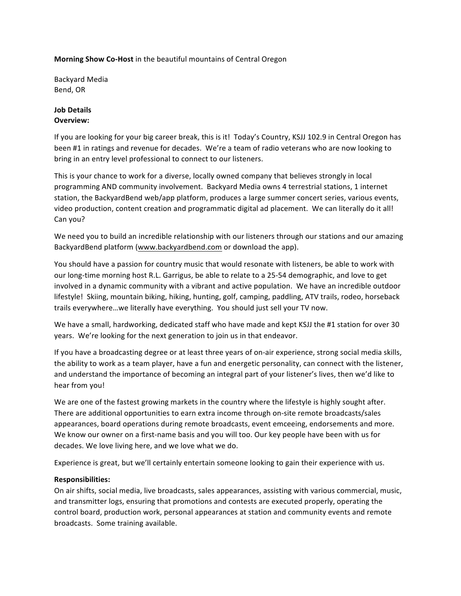### **Morning Show Co-Host** in the beautiful mountains of Central Oregon

Backyard Media Bend, OR

## **Job Details Overview:**

If you are looking for your big career break, this is it! Today's Country, KSJJ 102.9 in Central Oregon has been #1 in ratings and revenue for decades. We're a team of radio veterans who are now looking to bring in an entry level professional to connect to our listeners.

This is your chance to work for a diverse, locally owned company that believes strongly in local programming AND community involvement. Backyard Media owns 4 terrestrial stations, 1 internet station, the BackyardBend web/app platform, produces a large summer concert series, various events, video production, content creation and programmatic digital ad placement. We can literally do it all! Can you?

We need you to build an incredible relationship with our listeners through our stations and our amazing BackyardBend platform (www.backyardbend.com or download the app).

You should have a passion for country music that would resonate with listeners, be able to work with our long-time morning host R.L. Garrigus, be able to relate to a 25-54 demographic, and love to get involved in a dynamic community with a vibrant and active population. We have an incredible outdoor lifestyle! Skiing, mountain biking, hiking, hunting, golf, camping, paddling, ATV trails, rodeo, horseback trails everywhere...we literally have everything. You should just sell your TV now.

We have a small, hardworking, dedicated staff who have made and kept KSJJ the #1 station for over 30 years. We're looking for the next generation to join us in that endeavor.

If you have a broadcasting degree or at least three years of on-air experience, strong social media skills, the ability to work as a team player, have a fun and energetic personality, can connect with the listener, and understand the importance of becoming an integral part of your listener's lives, then we'd like to hear from you!

We are one of the fastest growing markets in the country where the lifestyle is highly sought after. There are additional opportunities to earn extra income through on-site remote broadcasts/sales appearances, board operations during remote broadcasts, event emceeing, endorsements and more. We know our owner on a first-name basis and you will too. Our key people have been with us for decades. We love living here, and we love what we do.

Experience is great, but we'll certainly entertain someone looking to gain their experience with us.

# **Responsibilities:**

On air shifts, social media, live broadcasts, sales appearances, assisting with various commercial, music, and transmitter logs, ensuring that promotions and contests are executed properly, operating the control board, production work, personal appearances at station and community events and remote broadcasts. Some training available.